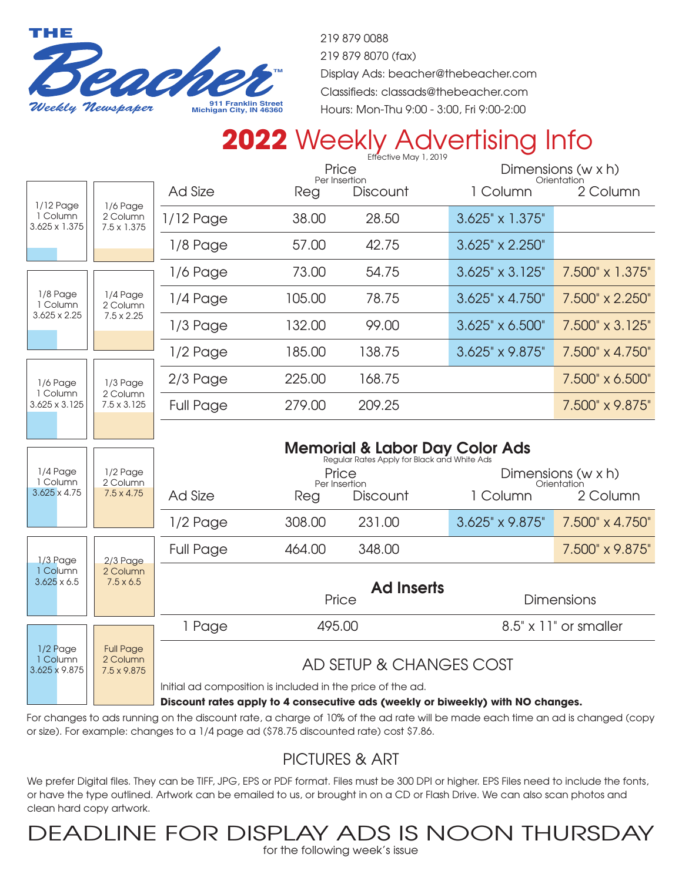

219 879 0088 219 879 8070 (fax) Display Ads: beacher@thebeacher.com Classifieds: classads@thebeacher.com Hours: Mon-Thu 9:00 - 3:00, Fri 9:00-2:00

## **2022** Weekly Advertising Info

|                                                                                             |                                                                                           |                                                                                          | Price<br>Per Insertion |                            | Dimensions (w x h)<br>Orientation |                         |
|---------------------------------------------------------------------------------------------|-------------------------------------------------------------------------------------------|------------------------------------------------------------------------------------------|------------------------|----------------------------|-----------------------------------|-------------------------|
| 1/12 Page                                                                                   |                                                                                           | <b>Ad Size</b>                                                                           | Reg                    | <b>Discount</b>            | 1 Column                          | 2 Column                |
| 1 Column<br>3.625 x 1.375                                                                   | 1/6 Page<br>2 Column<br>$7.5 \times 1.375$                                                | $1/12$ Page                                                                              | 38.00                  | 28.50                      | 3.625" x 1.375"                   |                         |
|                                                                                             |                                                                                           | $1/8$ Page                                                                               | 57.00                  | 42.75                      | 3.625" x 2.250"                   |                         |
| 1/8 Page<br>1 Column<br>$3.625 \times 2.25$<br>1/6 Page<br>1 Column<br>$3.625 \times 3.125$ | 1/4 Page<br>2 Column<br>$7.5 \times 2.25$<br>$1/3$ Page<br>2 Column<br>$7.5 \times 3.125$ | $1/6$ Page                                                                               | 73,00                  | 54.75                      | $3.625" \times 3.125"$            | 7.500" x 1.375"         |
|                                                                                             |                                                                                           | 1/4 Page                                                                                 | 105.00                 | 78.75                      | $3.625'' \times 4.750''$          | 7.500" x 2.250"         |
|                                                                                             |                                                                                           | 1/3 Page                                                                                 | 132.00                 | 99.00                      | $3.625" \times 6.500"$            | 7.500" x 3.125"         |
|                                                                                             |                                                                                           | 1/2 Page                                                                                 | 185.00                 | 138.75                     | 3.625" x 9.875"                   | 7.500" x 4.750"         |
|                                                                                             |                                                                                           | 2/3 Page                                                                                 | 225.00                 | 168.75                     |                                   | 7.500" x 6.500"         |
|                                                                                             |                                                                                           | <b>Full Page</b>                                                                         | 279.00                 | 209.25                     |                                   | 7.500" x 9.875"         |
|                                                                                             |                                                                                           |                                                                                          |                        |                            |                                   |                         |
|                                                                                             |                                                                                           | <b>Memorial &amp; Labor Day Color Ads</b><br>Regular Rates Apply for Black and White Ads |                        |                            |                                   |                         |
|                                                                                             |                                                                                           |                                                                                          |                        |                            |                                   |                         |
| 1/4 Page                                                                                    | $1/2$ Page                                                                                |                                                                                          |                        | Price                      |                                   | Dimensions (w x h)      |
| 1 Column<br>$3.625 \times 4.75$                                                             | 2 Column<br>$7.5 \times 4.75$                                                             | <b>Ad Size</b>                                                                           | Reg                    | Per Insertion<br>Discount  | 1 Column                          | Orientation<br>2 Column |
|                                                                                             |                                                                                           | $1/2$ Page                                                                               | 308.00                 | 231.00                     | 3.625" x 9.875"                   | 7.500" x 4.750"         |
|                                                                                             |                                                                                           | <b>Full Page</b>                                                                         | 464.00                 | 348.00                     |                                   | 7.500" x 9.875"         |
| 1/3 Page<br>1 Column<br>$3.625 \times 6.5$                                                  | $2/3$ Page<br>2 Column<br>$7.5 \times 6.5$                                                |                                                                                          |                        |                            |                                   |                         |
|                                                                                             |                                                                                           |                                                                                          |                        | <b>Ad Inserts</b><br>Price |                                   | <b>Dimensions</b>       |
|                                                                                             |                                                                                           | 1 Page                                                                                   | 495.00                 |                            |                                   | 8.5" x 11" or smaller   |
| 1/2 Page<br>1 Column<br>3.625 x 9.875                                                       | <b>Full Page</b><br>2 Column<br>7.5 x 9.875                                               |                                                                                          |                        | AD SETUP & CHANGES COST    |                                   |                         |
|                                                                                             |                                                                                           | Initial ad composition is included in the price of the ad.                               |                        |                            |                                   |                         |

For changes to ads running on the discount rate, a charge of 10% of the ad rate will be made each time an ad is changed (copy or size). For example: changes to a 1/4 page ad (\$78.75 discounted rate) cost \$7.86.

## PICTURES & ART

We prefer Digital files. They can be TIFF, JPG, EPS or PDF format. Files must be 300 DPI or higher. EPS Files need to include the fonts, or have the type outlined. Artwork can be emailed to us, or brought in on a CD or Flash Drive. We can also scan photos and clean hard copy artwork.

DEADLINE FOR DISPLAY ADS IS NOON THURSDAY

for the following week's issue